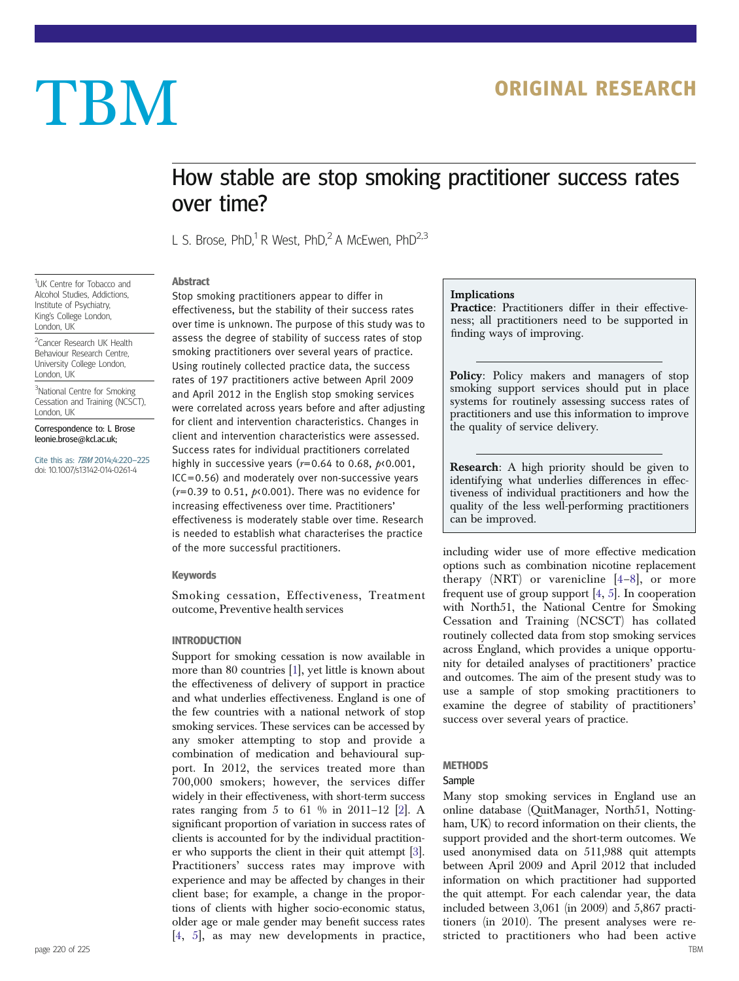# TBM ORIGINAL RESEARCH

## How stable are stop smoking practitioner success rates over time?

L S. Brose, PhD,<sup>1</sup> R West, PhD,<sup>2</sup> A McEwen, PhD<sup>2,3</sup>

<sup>1</sup>UK Centre for Tobacco and Alcohol Studies, Addictions, Institute of Psychiatry, King's College London, London, UK

<sup>2</sup> Cancer Research UK Health Behaviour Research Centre, University College London, London, UK

<sup>3</sup>National Centre for Smoking Cessation and Training (NCSCT), London, UK

Correspondence to: L Brose leonie.brose@kcl.ac.uk;

Cite this as: TBM 2014;4:220–225 doi: 10.1007/s13142-014-0261-4

Abstract Stop smoking practitioners appear to differ in effectiveness, but the stability of their success rates over time is unknown. The purpose of this study was to assess the degree of stability of success rates of stop smoking practitioners over several years of practice. Using routinely collected practice data, the success rates of 197 practitioners active between April 2009 and April 2012 in the English stop smoking services were correlated across years before and after adjusting for client and intervention characteristics. Changes in client and intervention characteristics were assessed. Success rates for individual practitioners correlated highly in successive years ( $r=0.64$  to 0.68,  $p<sub>0.001</sub>$ , ICC=0.56) and moderately over non-successive years ( $r=0.39$  to 0.51,  $p$ <0.001). There was no evidence for increasing effectiveness over time. Practitioners' effectiveness is moderately stable over time. Research is needed to establish what characterises the practice of the more successful practitioners.

#### Keywords

Smoking cessation, Effectiveness, Treatment outcome, Preventive health services

#### INTRODUCTION

Support for smoking cessation is now available in more than 80 countries [\[1](#page-4-0)], yet little is known about the effectiveness of delivery of support in practice and what underlies effectiveness. England is one of the few countries with a national network of stop smoking services. These services can be accessed by any smoker attempting to stop and provide a combination of medication and behavioural support. In 2012, the services treated more than 700,000 smokers; however, the services differ widely in their effectiveness, with short-term success rates ranging from 5 to 61 % in 2011–12 [\[2\]](#page-4-0). A significant proportion of variation in success rates of clients is accounted for by the individual practitioner who supports the client in their quit attempt [[3\]](#page-4-0). Practitioners' success rates may improve with experience and may be affected by changes in their client base; for example, a change in the proportions of clients with higher socio-economic status, older age or male gender may benefit success rates [[4,](#page-5-0) [5](#page-5-0)], as may new developments in practice,

#### Implications

Practice: Practitioners differ in their effectiveness; all practitioners need to be supported in finding ways of improving.

Policy: Policy makers and managers of stop smoking support services should put in place systems for routinely assessing success rates of practitioners and use this information to improve the quality of service delivery.

Research: A high priority should be given to identifying what underlies differences in effectiveness of individual practitioners and how the quality of the less well-performing practitioners can be improved.

including wider use of more effective medication options such as combination nicotine replacement therapy  $(NRT)$  or varenicline  $[4-8]$  $[4-8]$  $[4-8]$  $[4-8]$ , or more frequent use of group support [\[4](#page-5-0), [5](#page-5-0)]. In cooperation with North51, the National Centre for Smoking Cessation and Training (NCSCT) has collated routinely collected data from stop smoking services across England, which provides a unique opportunity for detailed analyses of practitioners' practice and outcomes. The aim of the present study was to use a sample of stop smoking practitioners to examine the degree of stability of practitioners' success over several years of practice.

### **METHODS**

#### Sample

Many stop smoking services in England use an online database (QuitManager, North51, Nottingham, UK) to record information on their clients, the support provided and the short-term outcomes. We used anonymised data on 511,988 quit attempts between April 2009 and April 2012 that included information on which practitioner had supported the quit attempt. For each calendar year, the data included between 3,061 (in 2009) and 5,867 practitioners (in 2010). The present analyses were restricted to practitioners who had been active page 220 of 225 TBM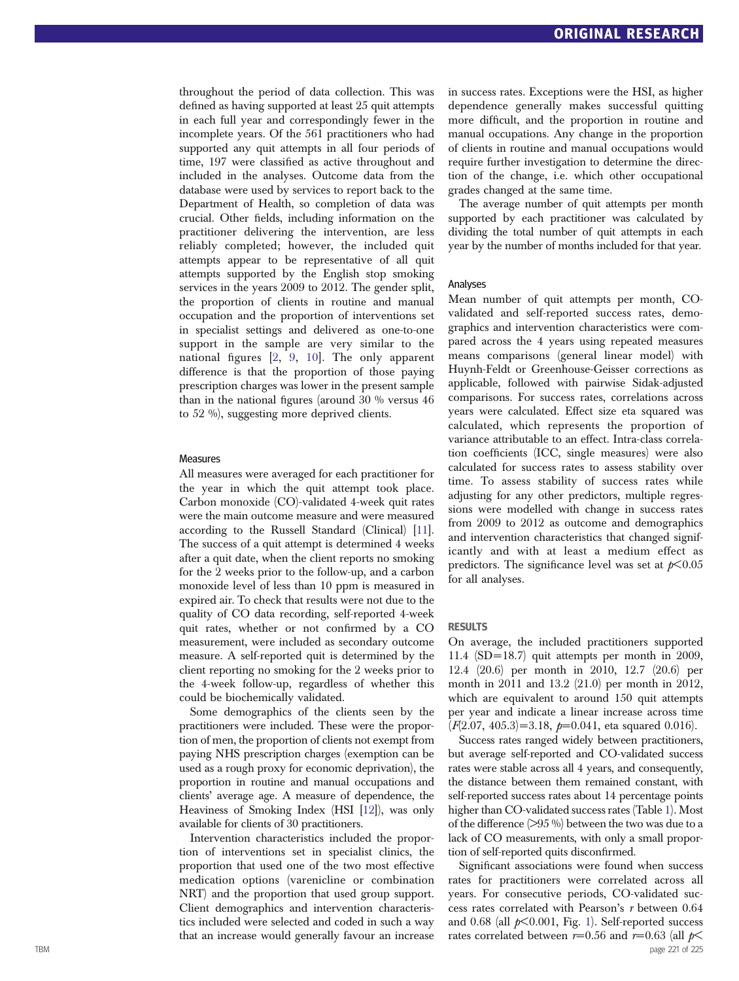throughout the period of data collection. This was de fined as having supported at least 25 quit attempts in each full year and correspondingly fewer in the incomplete years. Of the 561 practitioners who had supported any quit attempts in all four periods of time, 197 were classi fied as active throughout and included in the analyses. Outcome data from the database were used by services to report back to the Department of Health, so completion of data was crucial. Other fields, including information on the practitioner delivering the intervention, are less reliably completed; however, the included quit attempts appear to be representative of all quit attempts supported by the English stop smoking services in the years 2009 to 2012. The gender split, the proportion of clients in routine and manual occupation and the proportion of interventions set in specialist settings and delivered as one-to-one support in the sample are very similar to the national figures [ [2](#page-4-0) , [9](#page-5-0) , [10\]](#page-5-0). The only apparent difference is that the proportion of those paying prescription charges was lower in the present sample than in the national figures (around 30 % versus 46 to 52 %), suggesting more deprived clients.

#### Measures

All measures were averaged for each practitioner for the year in which the quit attempt took place. Carbon monoxide (CO)-validated 4-week quit rates were the main outcome measure and were measured according to the Russell Standard (Clinical) [[11](#page-5-0)]. The success of a quit attempt is determined 4 weeks after a quit date, when the client reports no smoking for the 2 weeks prior to the follow-up, and a carbon monoxide level of less than 10 ppm is measured in expired air. To check that results were not due to the quality of CO data recording, self-reported 4-week quit rates, whether or not con firmed by a CO measurement, were included as secondary outcome measure. A self-reported quit is determined by the client reporting no smoking for the 2 weeks prior to the 4-week follow-up, regardless of whether this could be biochemically validated.

Some demographics of the clients seen by the practitioners were included. These were the proportion of men, the proportion of clients not exempt from paying NHS prescription charges (exemption can be used as a rough proxy for economic deprivation), the proportion in routine and manual occupations and clients ' average age. A measure of dependence, the Heaviness of Smoking Index (HSI [\[12\]](#page-5-0)), was only available for clients of 30 practitioners.

Intervention characteristics included the proportion of interventions set in specialist clinics, the proportion that used one of the two most effective medication options (varenicline or combination NRT) and the proportion that used group support. Client demographics and intervention characteristics included were selected and coded in such a way that an increase would generally favour an increase in success rates. Exceptions were the HSI, as higher dependence generally makes successful quitting more difficult, and the proportion in routine and manual occupations. Any change in the proportion of clients in routine and manual occupations would require further investigation to determine the direction of the change, i.e. which other occupational grades changed at the same time.

The average number of quit attempts per month supported by each practitioner was calculated by dividing the total number of quit attempts in each year by the number of months included for that year.

#### Analyses

Mean number of quit attempts per month, COvalidated and self-reported success rates, demographics and intervention characteristics were compared across the 4 years using repeated measures means comparisons (general linear model) with Huynh-Feldt or Greenhouse-Geisser corrections as applicable, followed with pairwise Sidak-adjusted comparisons. For success rates, correlations across years were calculated. Effect size eta squared was calculated, which represents the proportion of variance attributable to an effect. Intra-class correlation coefficients (ICC, single measures) were also calculated for success rates to assess stability over time. To assess stability of success rates while adjusting for any other predictors, multiple regressions were modelled with change in success rates from 2009 to 2012 as outcome and demographics and intervention characteristics that changed significantly and with at least a medium effect as predictors. The significance level was set at  $p<0.05$ for all analyses.

#### RESULTS

On average, the included practitioners supported 11.4 (SD=18.7) quit attempts per month in 2009, 12.4 (20.6) per month in 2010, 12.7 (20.6) per month in 2011 and 13.2 (21.0) per month in 2012, which are equivalent to around 150 quit attempts per year and indicate a linear increase across time  $(F(2.07, 405.3) = 3.18, p=0.041$ , eta squared 0.016).

Success rates ranged widely between practitioners, but average self-reported and CO-validated success rates were stable across all 4 years, and consequently, the distance between them remained constant, with self-reported success rates about 14 percentage points higher than CO-validated success rates (Table [1\)](#page-2-0). Most of the difference (>95 %) between the two was due to a lack of CO measurements, with only a small proportion of self-reported quits disconfirmed.

Signi ficant associations were found when success rates for practitioners were correlated across all years. For consecutive periods, CO-validated success rates correlated with Pearson's r between 0.64 and 0.68 (all  $p<0.001$  $p<0.001$ , Fig. 1). Self-reported success rates correlated between  $r=0.56$  and  $r=0.63$  (all  $p<$ TBM page 221 of 225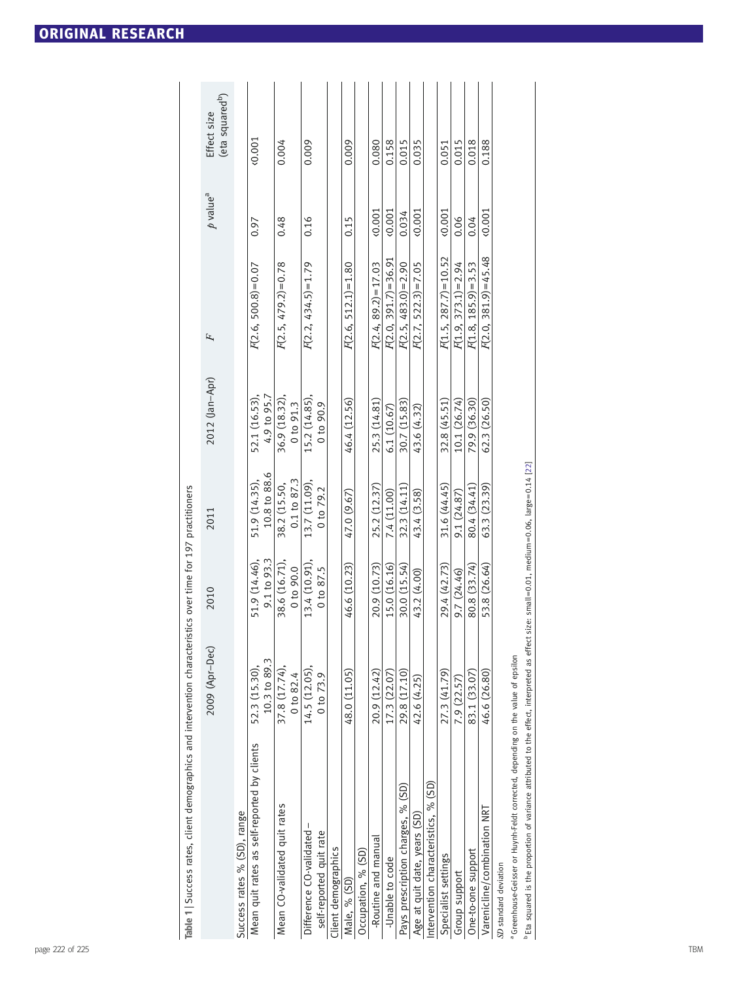<span id="page-2-0"></span>

| <b>ORIGINAL RESEARCH</b> |
|--------------------------|
|--------------------------|

| Table 1   Success rates, client demographics and intervention characteristics over time for 197 practitioners |                               |                              |                                        |                                |                         |                        |                                            |
|---------------------------------------------------------------------------------------------------------------|-------------------------------|------------------------------|----------------------------------------|--------------------------------|-------------------------|------------------------|--------------------------------------------|
|                                                                                                               | 2009 (Apr-Dec)                | 2010                         | 2011                                   | 2012 (Jan-Apr)                 | F                       | $p$ value <sup>a</sup> | (eta squared <sup>b</sup> )<br>Effect size |
| Success rates % (SD), range                                                                                   |                               |                              |                                        |                                |                         |                        |                                            |
| Mean quit rates as self-reported by clients                                                                   | 10.3 to 89.3<br>52.3 (15.30), | 9.1 to 93.3<br>51.9 (14.46), | 10.8 to 88.6<br>51.9 (14.35),          | 4.9 to 95.7<br>52.1 (16.53),   | $F(2.6, 500.8) = 0.07$  | 0.97                   | 0.001                                      |
| Mean CO-validated quit rates                                                                                  | 37.8 (17.74),<br>0 to 82.4    | 38.6 (16.71),<br>0 to 90.0   | $0.1 \text{ to } 87.3$<br>38.2 (15.50, | 36.9 (18.32),<br>$0$ to $91.3$ | $F(2.5, 479.2) = 0.78$  | 0.48                   | 0.004                                      |
| Difference CO-validated-                                                                                      | 14.5(12.05)                   | 13.4 (10.91)                 | 13.7 (11.09),                          | 15.2 (14.85),                  | $F(2.2, 434.5) = 1.79$  | 0.16                   | 0.009                                      |
| self-reported quit rate                                                                                       | $0$ to $73.9$                 | 0 to 87.5                    | 0 to 79.2                              | $0 \text{ to } 90.9$           |                         |                        |                                            |
| Client demographics                                                                                           |                               |                              |                                        |                                |                         |                        |                                            |
| Male, % (SD)                                                                                                  | 48.0 (11.05)                  | 46.6 (10.23)                 | 47.0 (9.67)                            | 46.4 (12.56)                   | $F(2.6, 512.1) = 1.80$  | 0.15                   | 0.009                                      |
| Occupation, % (SD)                                                                                            |                               |                              |                                        |                                |                         |                        |                                            |
| -Routine and manual                                                                                           | 20.9 (12.42)                  | 20.9 (10.73)                 | 25.2 (12.37)                           | 25.3 (14.81)                   | $F(2.4, 89.2) = 17.03$  | 0.001                  | 0.080                                      |
| -Unable to code                                                                                               | 17.3 (22.07)                  | 15.0 (16.16)                 | 7.4 (11.00)                            | 6.1 (10.67)                    | $F(2.0, 391.7) = 36.91$ | 0.001                  | 0.158                                      |
| Pays prescription charges, % (SD)                                                                             | 29.8 (17.10)                  | 30.0 (15.54)                 | 32.3 (14.11)                           | 30.7 (15.83)                   | $F(2.5, 483.0) = 2.90$  | 0.034                  | 0.015                                      |
| Age at quit date, years (SD)                                                                                  | 42.6 (4.25)                   | 43.2 (4.00)                  | 43.4 (3.58)                            | 43.6 (4.32)                    | $R$ 2.7, 522.3)=7.05    | 0.001                  | 0.035                                      |
| Intervention characteristics, % (SD)                                                                          |                               |                              |                                        |                                |                         |                        |                                            |
| Specialist settings                                                                                           | 27.3 (41.79)                  | 29.4 (42.73)                 | 31.6 (44.45)                           | 32.8 (45.51)                   | $F(1.5, 287.7) = 10.52$ | 0.001                  | 0.051                                      |
| Group support                                                                                                 | 7.9 (22.57)                   | 9.7 (24.46)                  | 9.1 (24.87)                            | 10.1 (26.74)                   | $F(1.9, 373.1) = 2.94$  | 0.06                   | 0.015                                      |
| One-to-one support                                                                                            | 83.1 (33.07)                  | 80.8 (33.74)                 | 80.4 (34.41)                           | 79.9 (36.30)                   | $F(1.8, 185.9) = 3.53$  | 0.04                   | 0.018                                      |
| Varenicline/combination NRT                                                                                   | 46.6 (26.80)                  | 53.8 (26.64)                 | 63.3(23.39)                            | 62.3 (26.50)                   | $F(2.0, 381.9) = 45.48$ | 0.001                  | 0.188                                      |
| SD standard deviation                                                                                         |                               |                              |                                        |                                |                         |                        |                                            |
| a Greenhouse-Geisser or Huynh-Feldt corrected, depending on the value of epsilon                              |                               |                              |                                        |                                |                         |                        |                                            |

 $^{\rm b}$  Eta squared is the proportion of variance attributed to the effect, interpreted as effect size: small=0.01, medium=0.06, large=0.14 [\[22\]](#page-5-0)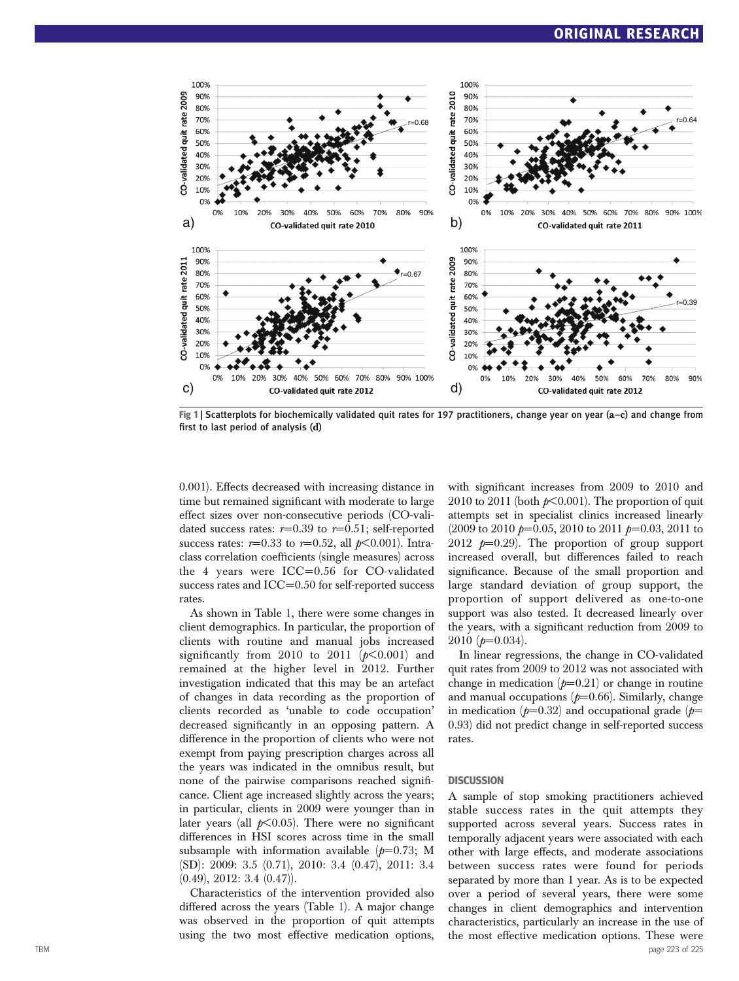<span id="page-3-0"></span>

Fig 1 | Scatterplots for biochemically validated quit rates for 197 practitioners, change year on year (a–c) and change from first to last period of analysis (d)

0.001). Effects decreased with increasing distance in time but remained significant with moderate to large effect sizes over non-consecutive periods (CO-validated success rates:  $r=0.39$  to  $r=0.51$ ; self-reported success rates:  $r=0.33$  to  $r=0.52$ , all  $p<0.001$ ). Intraclass correlation coefficients (single measures) across the 4 years were ICC=0.56 for CO-validated success rates and ICC=0.50 for self-reported success rates.

As shown in Table [1,](#page-2-0) there were some changes in client demographics. In particular, the proportion of clients with routine and manual jobs increased significantly from 2010 to 2011  $(p<0.001)$  and remained at the higher level in 2012. Further investigation indicated that this may be an artefact of changes in data recording as the proportion of clients recorded as 'unable to code occupation' decreased significantly in an opposing pattern. A difference in the proportion of clients who were not exempt from paying prescription charges across all the years was indicated in the omnibus result, but none of the pairwise comparisons reached significance. Client age increased slightly across the years; in particular, clients in 2009 were younger than in later years (all  $p<0.05$ ). There were no significant differences in HSI scores across time in the small subsample with information available  $(p=0.73; M)$ (SD): 2009: 3.5 (0.71), 2010: 3.4 (0.47), 2011: 3.4 (0.49), 2012: 3.4 (0.47)).

Characteristics of the intervention provided also differed across the years (Table [1](#page-2-0)). A major change was observed in the proportion of quit attempts using the two most effective medication options,

with significant increases from 2009 to 2010 and 2010 to 2011 (both  $p<0.001$ ). The proportion of quit attempts set in specialist clinics increased linearly  $(2009 \text{ to } 2010 \text{ p} = 0.05, 2010 \text{ to } 2011 \text{ p} = 0.03, 2011 \text{ to }$ 2012  $p=0.29$ . The proportion of group support increased overall, but differences failed to reach significance. Because of the small proportion and large standard deviation of group support, the proportion of support delivered as one-to-one support was also tested. It decreased linearly over the years, with a significant reduction from 2009 to  $2010$  ( $p=0.034$ ).

In linear regressions, the change in CO-validated quit rates from 2009 to 2012 was not associated with change in medication  $(p=0.21)$  or change in routine and manual occupations  $(p=0.66)$ . Similarly, change in medication ( $p=0.32$ ) and occupational grade ( $p=$ 0.93) did not predict change in self-reported success rates.

#### **DISCUSSION**

A sample of stop smoking practitioners achieved stable success rates in the quit attempts they supported across several years. Success rates in temporally adjacent years were associated with each other with large effects, and moderate associations between success rates were found for periods separated by more than 1 year. As is to be expected over a period of several years, there were some changes in client demographics and intervention characteristics, particularly an increase in the use of the most effective medication options. These were TBM page 223 of 225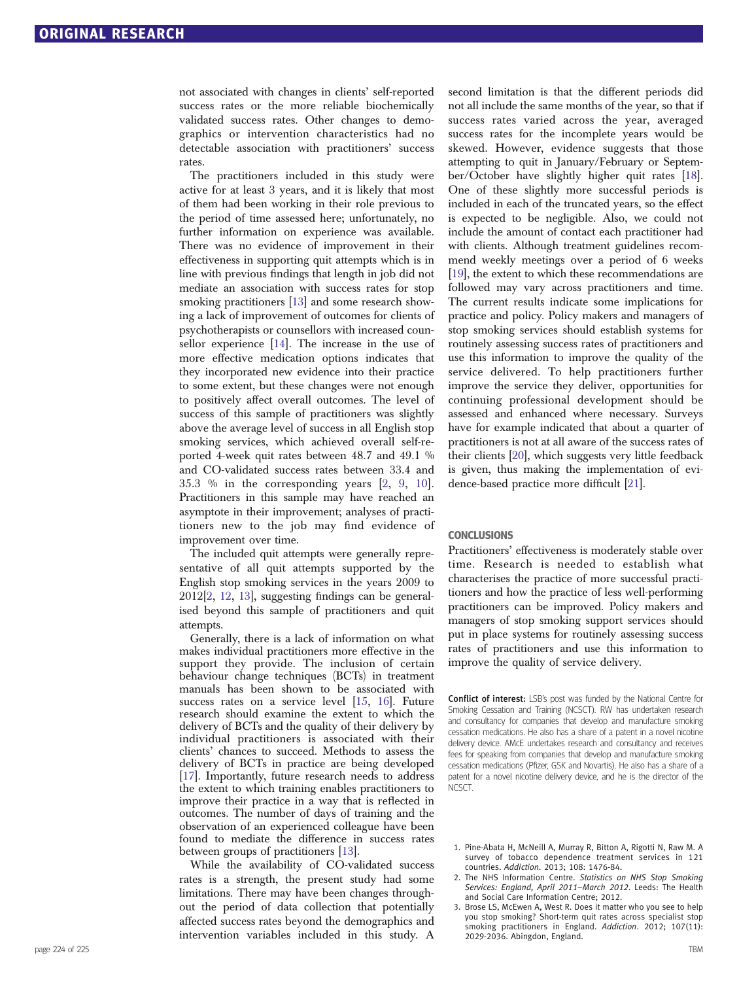<span id="page-4-0"></span>not associated with changes in clients' self-reported success rates or the more reliable biochemically validated success rates. Other changes to demographics or intervention characteristics had no detectable association with practitioners' success rates.

The practitioners included in this study were active for at least 3 years, and it is likely that most of them had been working in their role previous to the period of time assessed here; unfortunately, no further information on experience was available. There was no evidence of improvement in their effectiveness in supporting quit attempts which is in line with previous findings that length in job did not mediate an association with success rates for stop smoking practitioners [\[13\]](#page-5-0) and some research showing a lack of improvement of outcomes for clients of psychotherapists or counsellors with increased counsellor experience [\[14](#page-5-0)]. The increase in the use of more effective medication options indicates that they incorporated new evidence into their practice to some extent, but these changes were not enough to positively affect overall outcomes. The level of success of this sample of practitioners was slightly above the average level of success in all English stop smoking services, which achieved overall self-reported 4-week quit rates between 48.7 and 49.1 % and CO-validated success rates between 33.4 and 35.3 % in the corresponding years [2, [9,](#page-5-0) [10\]](#page-5-0). Practitioners in this sample may have reached an asymptote in their improvement; analyses of practitioners new to the job may find evidence of improvement over time.

The included quit attempts were generally representative of all quit attempts supported by the English stop smoking services in the years 2009 to 2012[2, [12,](#page-5-0) [13\]](#page-5-0), suggesting findings can be generalised beyond this sample of practitioners and quit attempts.

Generally, there is a lack of information on what makes individual practitioners more effective in the support they provide. The inclusion of certain behaviour change techniques (BCTs) in treatment manuals has been shown to be associated with success rates on a service level [[15](#page-5-0), [16\]](#page-5-0). Future research should examine the extent to which the delivery of BCTs and the quality of their delivery by individual practitioners is associated with their clients' chances to succeed. Methods to assess the delivery of BCTs in practice are being developed [\[17\]](#page-5-0). Importantly, future research needs to address the extent to which training enables practitioners to improve their practice in a way that is reflected in outcomes. The number of days of training and the observation of an experienced colleague have been found to mediate the difference in success rates between groups of practitioners [[13](#page-5-0)].

While the availability of CO-validated success rates is a strength, the present study had some limitations. There may have been changes throughout the period of data collection that potentially affected success rates beyond the demographics and intervention variables included in this study. A

second limitation is that the different periods did not all include the same months of the year, so that if success rates varied across the year, averaged success rates for the incomplete years would be skewed. However, evidence suggests that those attempting to quit in January/February or September/October have slightly higher quit rates [\[18\]](#page-5-0). One of these slightly more successful periods is included in each of the truncated years, so the effect is expected to be negligible. Also, we could not include the amount of contact each practitioner had with clients. Although treatment guidelines recommend weekly meetings over a period of 6 weeks [\[19\]](#page-5-0), the extent to which these recommendations are followed may vary across practitioners and time. The current results indicate some implications for practice and policy. Policy makers and managers of stop smoking services should establish systems for routinely assessing success rates of practitioners and use this information to improve the quality of the service delivered. To help practitioners further improve the service they deliver, opportunities for continuing professional development should be assessed and enhanced where necessary. Surveys have for example indicated that about a quarter of practitioners is not at all aware of the success rates of their clients [[20](#page-5-0)], which suggests very little feedback is given, thus making the implementation of evidence-based practice more difficult [[21\]](#page-5-0).

#### **CONCLUSIONS**

Practitioners' effectiveness is moderately stable over time. Research is needed to establish what characterises the practice of more successful practitioners and how the practice of less well-performing practitioners can be improved. Policy makers and managers of stop smoking support services should put in place systems for routinely assessing success rates of practitioners and use this information to improve the quality of service delivery.

Conflict of interest: LSB's post was funded by the National Centre for Smoking Cessation and Training (NCSCT). RW has undertaken research and consultancy for companies that develop and manufacture smoking cessation medications. He also has a share of a patent in a novel nicotine delivery device. AMcE undertakes research and consultancy and receives fees for speaking from companies that develop and manufacture smoking cessation medications (Pfizer, GSK and Novartis). He also has a share of a patent for a novel nicotine delivery device, and he is the director of the NCSCT.

- 1. Pine-Abata H, McNeill A, Murray R, Bitton A, Rigotti N, Raw M. A survey of tobacco dependence treatment services in 121 countries. Addiction. 2013; 108: 1476-84.
- 2. The NHS Information Centre. Statistics on NHS Stop Smoking Services: England, April 2011–March 2012. Leeds: The Health and Social Care Information Centre; 2012.
- 3. Brose LS, McEwen A, West R. Does it matter who you see to help you stop smoking? Short-term quit rates across specialist stop smoking practitioners in England. Addiction. 2012; 107(11): 2029-2036. Abingdon, England.